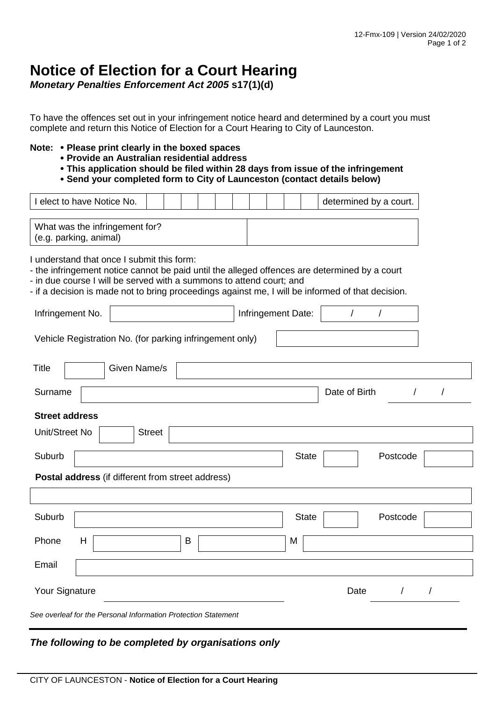## **Notice of Election for a Court Hearing**

*Monetary Penalties Enforcement Act 2005* **s17(1)(d)**

To have the offences set out in your infringement notice heard and determined by a court you must complete and return this Notice of Election for a Court Hearing to City of Launceston.

## **Note: Please print clearly in the boxed spaces**

- **Provide an Australian residential address**
- **This application should be filed within 28 days from issue of the infringement**
- **Send your completed form to City of Launceston (contact details below)**

| I elect to have Notice No.                                                                                                                                                                                                                                                                                               |               |   |  |                    | determined by a court. |                        |
|--------------------------------------------------------------------------------------------------------------------------------------------------------------------------------------------------------------------------------------------------------------------------------------------------------------------------|---------------|---|--|--------------------|------------------------|------------------------|
| What was the infringement for?<br>(e.g. parking, animal)                                                                                                                                                                                                                                                                 |               |   |  |                    |                        |                        |
| I understand that once I submit this form:<br>- the infringement notice cannot be paid until the alleged offences are determined by a court<br>- in due course I will be served with a summons to attend court; and<br>- if a decision is made not to bring proceedings against me, I will be informed of that decision. |               |   |  |                    |                        |                        |
| Infringement No.                                                                                                                                                                                                                                                                                                         |               |   |  | Infringement Date: | $\sqrt{ }$             |                        |
| Vehicle Registration No. (for parking infringement only)                                                                                                                                                                                                                                                                 |               |   |  |                    |                        |                        |
| Given Name/s<br><b>Title</b>                                                                                                                                                                                                                                                                                             |               |   |  |                    |                        |                        |
| Surname                                                                                                                                                                                                                                                                                                                  |               |   |  |                    | Date of Birth          | $\prime$<br>$\sqrt{2}$ |
| <b>Street address</b>                                                                                                                                                                                                                                                                                                    |               |   |  |                    |                        |                        |
| Unit/Street No                                                                                                                                                                                                                                                                                                           | <b>Street</b> |   |  |                    |                        |                        |
| Suburb                                                                                                                                                                                                                                                                                                                   |               |   |  | <b>State</b>       | Postcode               |                        |
| Postal address (if different from street address)                                                                                                                                                                                                                                                                        |               |   |  |                    |                        |                        |
|                                                                                                                                                                                                                                                                                                                          |               |   |  |                    |                        |                        |
| Suburb                                                                                                                                                                                                                                                                                                                   |               |   |  | <b>State</b>       | Postcode               |                        |
| H<br>Phone                                                                                                                                                                                                                                                                                                               |               | B |  | M                  |                        |                        |
| Email                                                                                                                                                                                                                                                                                                                    |               |   |  |                    |                        |                        |
| Your Signature                                                                                                                                                                                                                                                                                                           |               |   |  |                    | Date<br>$\prime$       |                        |
| See overleaf for the Personal Information Protection Statement                                                                                                                                                                                                                                                           |               |   |  |                    |                        |                        |

## *The following to be completed by organisations only*